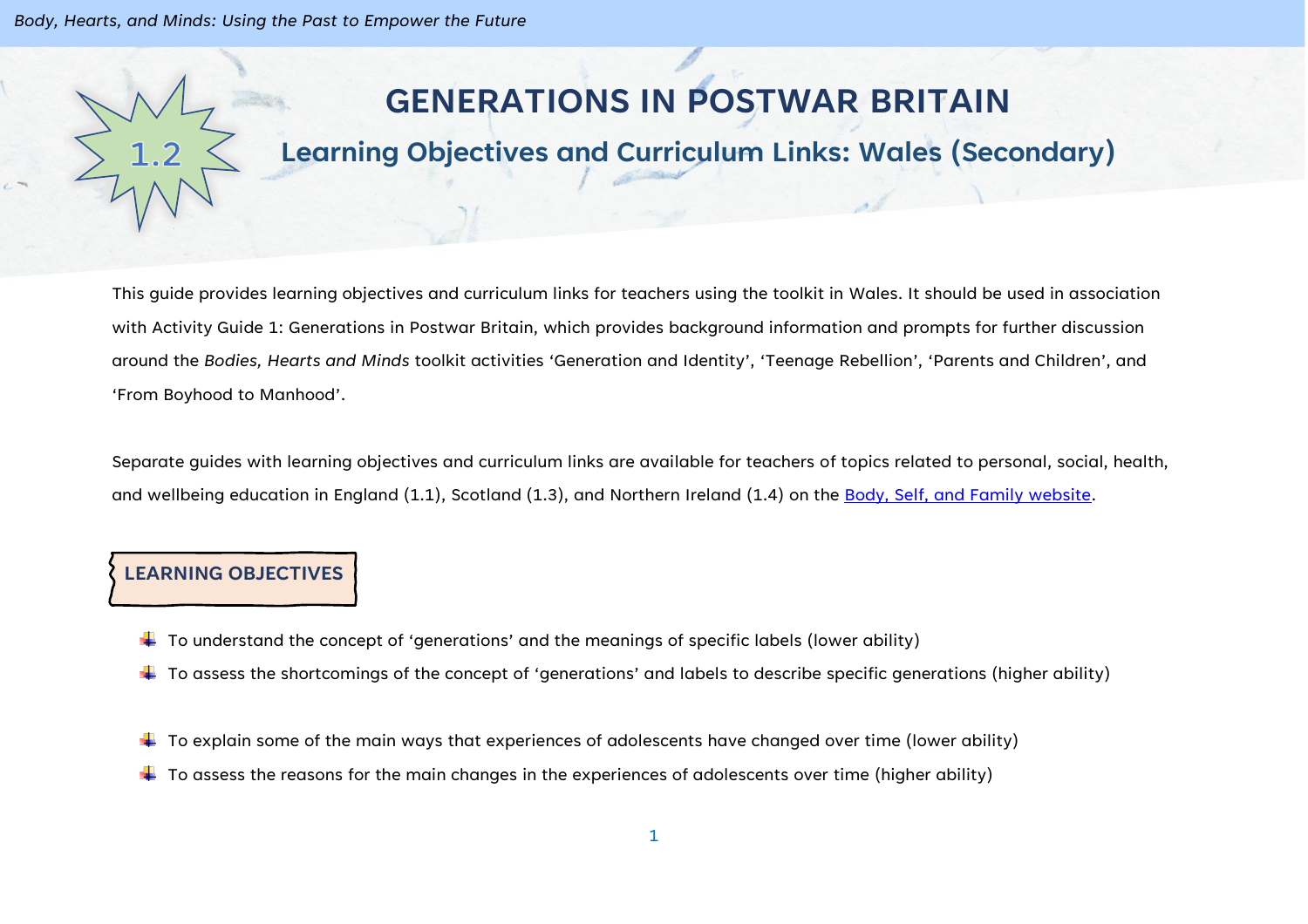*Body, Hearts, and Minds: Using the Past to Empower the Future*

# **GENERATIONS IN POSTWAR BRITAIN**

## **Learning Objectives and Curriculum Links: Wales (Secondary)**

This guide provides learning objectives and curriculum links for teachers using the toolkit in Wales. It should be used in association with Activity Guide 1: Generations in Postwar Britain, which provides background information and prompts for further discussion around the *Bodies, Hearts and Minds* toolkit activities 'Generation and Identity', 'Teenage Rebellion', 'Parents and Children', and 'From Boyhood to Manhood'.

Separate guides with learning objectives and curriculum links are available for teachers of topics related to personal, social, health, and wellbeing education in England (1.1), Scotland (1.3), and Northern Ireland (1.4) on the [Body, Self, and Family website.](https://bodyselffamily.org/)

#### **LEARNING OBJECTIVES**

- $\downarrow$  To understand the concept of 'generations' and the meanings of specific labels (lower ability)
- $\ddotplus$  To assess the shortcomings of the concept of 'generations' and labels to describe specific generations (higher ability)
- $\downarrow$  To explain some of the main ways that experiences of adolescents have changed over time (lower ability)
- $\ddot{\bullet}$  To assess the reasons for the main changes in the experiences of adolescents over time (higher ability)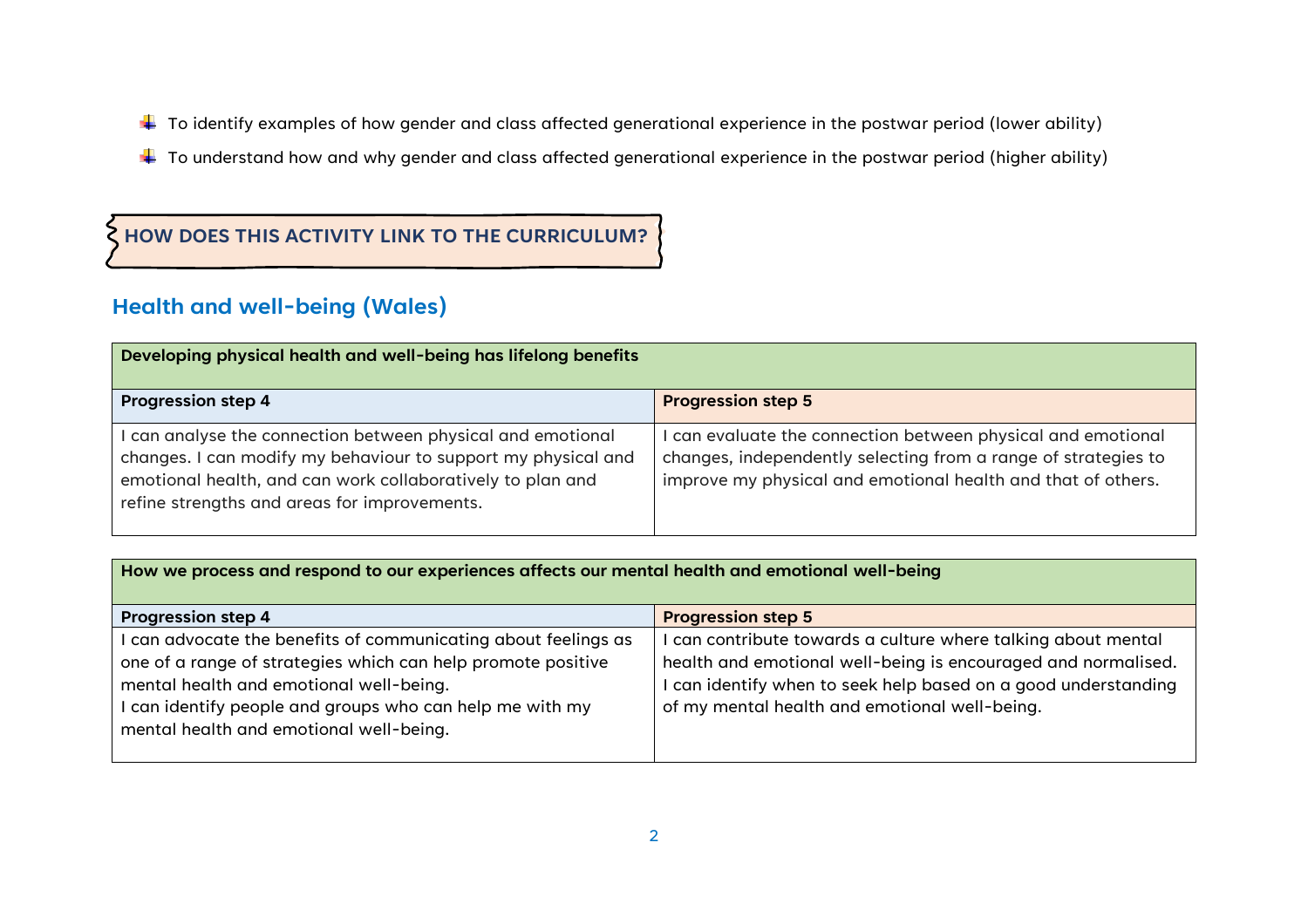- $\ddotplus$  To identify examples of how gender and class affected generational experience in the postwar period (lower ability)
- $\ddotplus$  To understand how and why gender and class affected generational experience in the postwar period (higher ability)

### **HOW DOES THIS ACTIVITY LINK TO THE CURRICULUM?**

## **Health and well-being (Wales)**

| Developing physical health and well-being has lifelong benefits                                                                                                                                                                          |                                                                                                                                                                                              |  |
|------------------------------------------------------------------------------------------------------------------------------------------------------------------------------------------------------------------------------------------|----------------------------------------------------------------------------------------------------------------------------------------------------------------------------------------------|--|
| <b>Progression step 4</b>                                                                                                                                                                                                                | <b>Progression step 5</b>                                                                                                                                                                    |  |
| can analyse the connection between physical and emotional<br>changes. I can modify my behaviour to support my physical and<br>emotional health, and can work collaboratively to plan and<br>refine strengths and areas for improvements. | can evaluate the connection between physical and emotional<br>changes, independently selecting from a range of strategies to<br>improve my physical and emotional health and that of others. |  |

#### **How we process and respond to our experiences affects our mental health and emotional well-being**

| <b>Progression step 4</b>                                      | <b>Progression step 5</b>                                      |
|----------------------------------------------------------------|----------------------------------------------------------------|
| I can advocate the benefits of communicating about feelings as | can contribute towards a culture where talking about mental    |
| one of a range of strategies which can help promote positive   | health and emotional well-being is encouraged and normalised.  |
| mental health and emotional well-being.                        | I can identify when to seek help based on a good understanding |
| can identify people and groups who can help me with my         | of my mental health and emotional well-being.                  |
| mental health and emotional well-being.                        |                                                                |
|                                                                |                                                                |